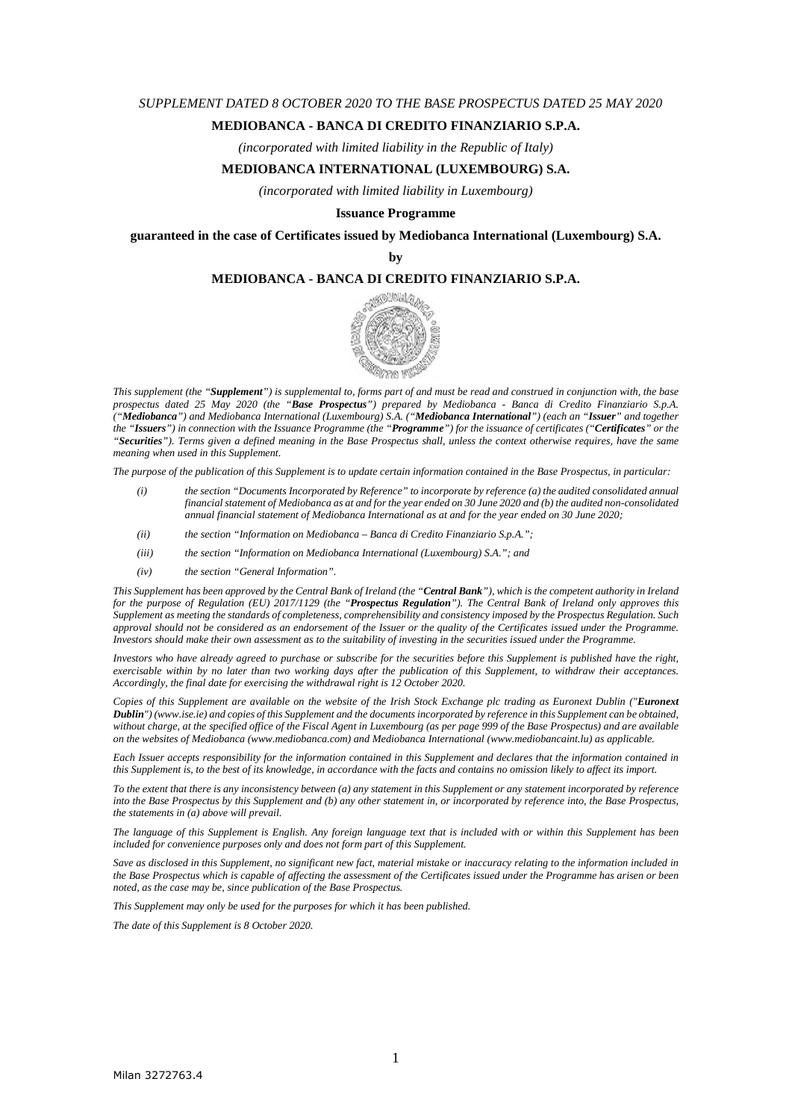#### *SUPPLEMENT DATED 8 OCTOBER 2020 TO THE BASE PROSPECTUS DATED 25 MAY 2020*

#### **MEDIOBANCA - BANCA DI CREDITO FINANZIARIO S.P.A.**

*(incorporated with limited liability in the Republic of Italy)* 

#### **MEDIOBANCA INTERNATIONAL (LUXEMBOURG) S.A.**

*(incorporated with limited liability in Luxembourg)* 

#### **Issuance Programme**

**guaranteed in the case of Certificates issued by Mediobanca International (Luxembourg) S.A.** 

**by** 

#### **MEDIOBANCA - BANCA DI CREDITO FINANZIARIO S.P.A.**



*This supplement (the "Supplement") is supplemental to, forms part of and must be read and construed in conjunction with, the base prospectus dated 25 May 2020 (the "Base Prospectus") prepared by Mediobanca - Banca di Credito Finanziario S.p.A. ("Mediobanca") and Mediobanca International (Luxembourg) S.A. ("Mediobanca International") (each an "Issuer" and together the "Issuers") in connection with the Issuance Programme (the "Programme") for the issuance of certificates ("Certificates" or the "Securities"). Terms given a defined meaning in the Base Prospectus shall, unless the context otherwise requires, have the same meaning when used in this Supplement.* 

*The purpose of the publication of this Supplement is to update certain information contained in the Base Prospectus, in particular:* 

- *(i) the section "Documents Incorporated by Reference" to incorporate by reference (a) the audited consolidated annual financial statement of Mediobanca as at and for the year ended on 30 June 2020 and (b) the audited non-consolidated annual financial statement of Mediobanca International as at and for the year ended on 30 June 2020;*
- *(ii) the section "Information on Mediobanca Banca di Credito Finanziario S.p.A.";*
- *(iii) the section "Information on Mediobanca International (Luxembourg) S.A."; and*
- *(iv) the section "General Information".*

*This Supplement has been approved by the Central Bank of Ireland (the "Central Bank"), which is the competent authority in Ireland for the purpose of Regulation (EU) 2017/1129 (the "Prospectus Regulation"). The Central Bank of Ireland only approves this Supplement as meeting the standards of completeness, comprehensibility and consistency imposed by the Prospectus Regulation. Such approval should not be considered as an endorsement of the Issuer or the quality of the Certificates issued under the Programme. Investors should make their own assessment as to the suitability of investing in the securities issued under the Programme.* 

*Investors who have already agreed to purchase or subscribe for the securities before this Supplement is published have the right, exercisable within by no later than two working days after the publication of this Supplement, to withdraw their acceptances. Accordingly, the final date for exercising the withdrawal right is 12 October 2020.* 

*Copies of this Supplement are available on the website of the Irish Stock Exchange plc trading as Euronext Dublin ("Euronext Dublin") (www.ise.ie) and copies of this Supplement and the documents incorporated by reference in this Supplement can be obtained, without charge, at the specified office of the Fiscal Agent in Luxembourg (as per page 999 of the Base Prospectus) and are available on the websites of Mediobanca (www.mediobanca.com) and Mediobanca International (www.mediobancaint.lu) as applicable.* 

*Each Issuer accepts responsibility for the information contained in this Supplement and declares that the information contained in this Supplement is, to the best of its knowledge, in accordance with the facts and contains no omission likely to affect its import.* 

*To the extent that there is any inconsistency between (a) any statement in this Supplement or any statement incorporated by reference into the Base Prospectus by this Supplement and (b) any other statement in, or incorporated by reference into, the Base Prospectus, the statements in (a) above will prevail.* 

*The language of this Supplement is English. Any foreign language text that is included with or within this Supplement has been included for convenience purposes only and does not form part of this Supplement.* 

*Save as disclosed in this Supplement, no significant new fact, material mistake or inaccuracy relating to the information included in the Base Prospectus which is capable of affecting the assessment of the Certificates issued under the Programme has arisen or been noted, as the case may be, since publication of the Base Prospectus.* 

*This Supplement may only be used for the purposes for which it has been published.* 

*The date of this Supplement is 8 October 2020.*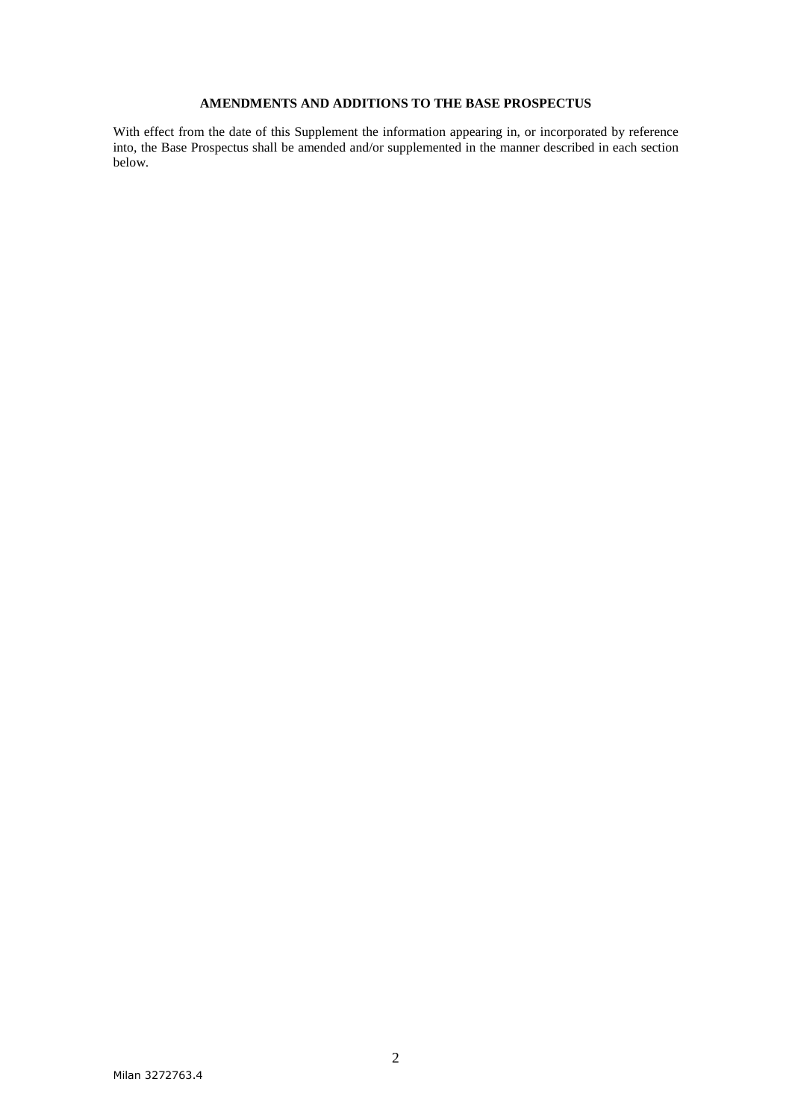# **AMENDMENTS AND ADDITIONS TO THE BASE PROSPECTUS**

With effect from the date of this Supplement the information appearing in, or incorporated by reference into, the Base Prospectus shall be amended and/or supplemented in the manner described in each section below.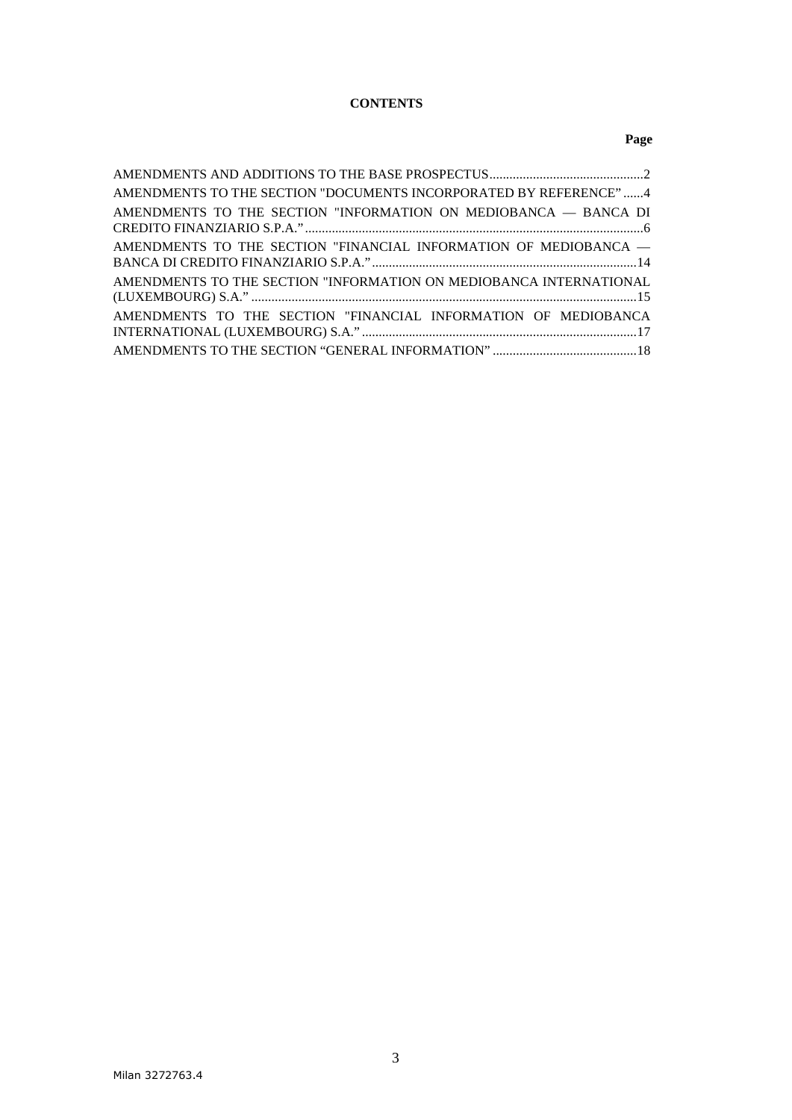# **CONTENTS**

# **Page**

| AMENDMENTS TO THE SECTION "DOCUMENTS INCORPORATED BY REFERENCE"4   |
|--------------------------------------------------------------------|
| AMENDMENTS TO THE SECTION "INFORMATION ON MEDIOBANCA - BANCA DI    |
| AMENDMENTS TO THE SECTION "FINANCIAL INFORMATION OF MEDIOBANCA -   |
| AMENDMENTS TO THE SECTION "INFORMATION ON MEDIOBANCA INTERNATIONAL |
| AMENDMENTS TO THE SECTION "FINANCIAL INFORMATION OF MEDIOBANCA     |
|                                                                    |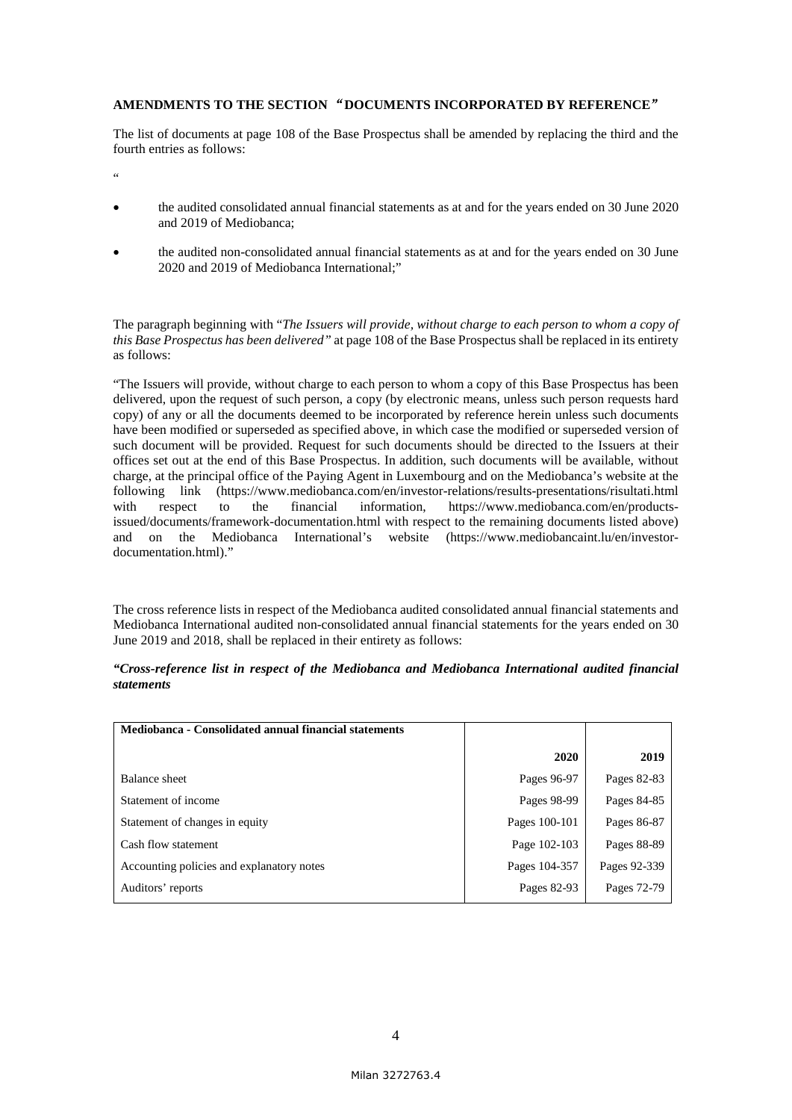## **AMENDMENTS TO THE SECTION** "**DOCUMENTS INCORPORATED BY REFERENCE**"

The list of documents at page 108 of the Base Prospectus shall be amended by replacing the third and the fourth entries as follows:

"

- the audited consolidated annual financial statements as at and for the years ended on 30 June 2020 and 2019 of Mediobanca;
- the audited non-consolidated annual financial statements as at and for the years ended on 30 June 2020 and 2019 of Mediobanca International;"

The paragraph beginning with "*The Issuers will provide, without charge to each person to whom a copy of this Base Prospectus has been delivered"* at page 108 of the Base Prospectus shall be replaced in its entirety as follows:

"The Issuers will provide, without charge to each person to whom a copy of this Base Prospectus has been delivered, upon the request of such person, a copy (by electronic means, unless such person requests hard copy) of any or all the documents deemed to be incorporated by reference herein unless such documents have been modified or superseded as specified above, in which case the modified or superseded version of such document will be provided. Request for such documents should be directed to the Issuers at their offices set out at the end of this Base Prospectus. In addition, such documents will be available, without charge, at the principal office of the Paying Agent in Luxembourg and on the Mediobanca's website at the following link (https://www.mediobanca.com/en/investor-relations/results-presentations/risultati.html with respect to the financial information, https://www.mediobanca.com/en/productsissued/documents/framework-documentation.html with respect to the remaining documents listed above) and on the Mediobanca International's website [\(https://www.mediobancaint.lu/en/investor](https://www.mediobancaint.lu/en/investor-documentation.html))[documentation.html\).](https://www.mediobancaint.lu/en/investor-documentation.html))"

The cross reference lists in respect of the Mediobanca audited consolidated annual financial statements and Mediobanca International audited non-consolidated annual financial statements for the years ended on 30 June 2019 and 2018, shall be replaced in their entirety as follows:

| "Cross-reference list in respect of the Mediobanca and Mediobanca International audited financial |  |  |  |  |  |  |
|---------------------------------------------------------------------------------------------------|--|--|--|--|--|--|
| <i>statements</i>                                                                                 |  |  |  |  |  |  |

| Mediobanca - Consolidated annual financial statements |               |              |
|-------------------------------------------------------|---------------|--------------|
|                                                       | 2020          | 2019         |
| Balance sheet                                         | Pages 96-97   | Pages 82-83  |
| Statement of income                                   | Pages 98-99   | Pages 84-85  |
| Statement of changes in equity                        | Pages 100-101 | Pages 86-87  |
| Cash flow statement                                   | Page 102-103  | Pages 88-89  |
| Accounting policies and explanatory notes             | Pages 104-357 | Pages 92-339 |
| Auditors' reports                                     | Pages 82-93   | Pages 72-79  |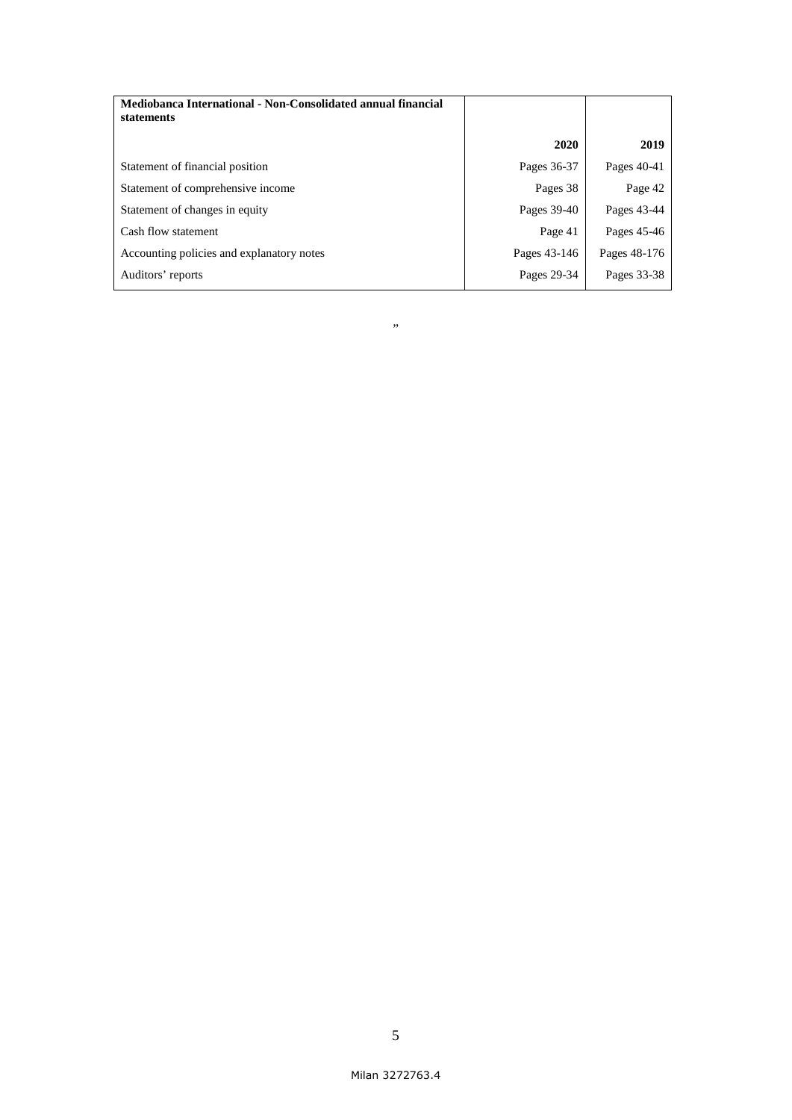| Mediobanca International - Non-Consolidated annual financial<br>statements |              |              |
|----------------------------------------------------------------------------|--------------|--------------|
|                                                                            | 2020         | 2019         |
| Statement of financial position                                            | Pages 36-37  | Pages 40-41  |
| Statement of comprehensive income                                          | Pages 38     | Page 42      |
| Statement of changes in equity                                             | Pages 39-40  | Pages 43-44  |
| Cash flow statement                                                        | Page 41      | Pages 45-46  |
| Accounting policies and explanatory notes                                  | Pages 43-146 | Pages 48-176 |
| Auditors' reports                                                          | Pages 29-34  | Pages 33-38  |

#### "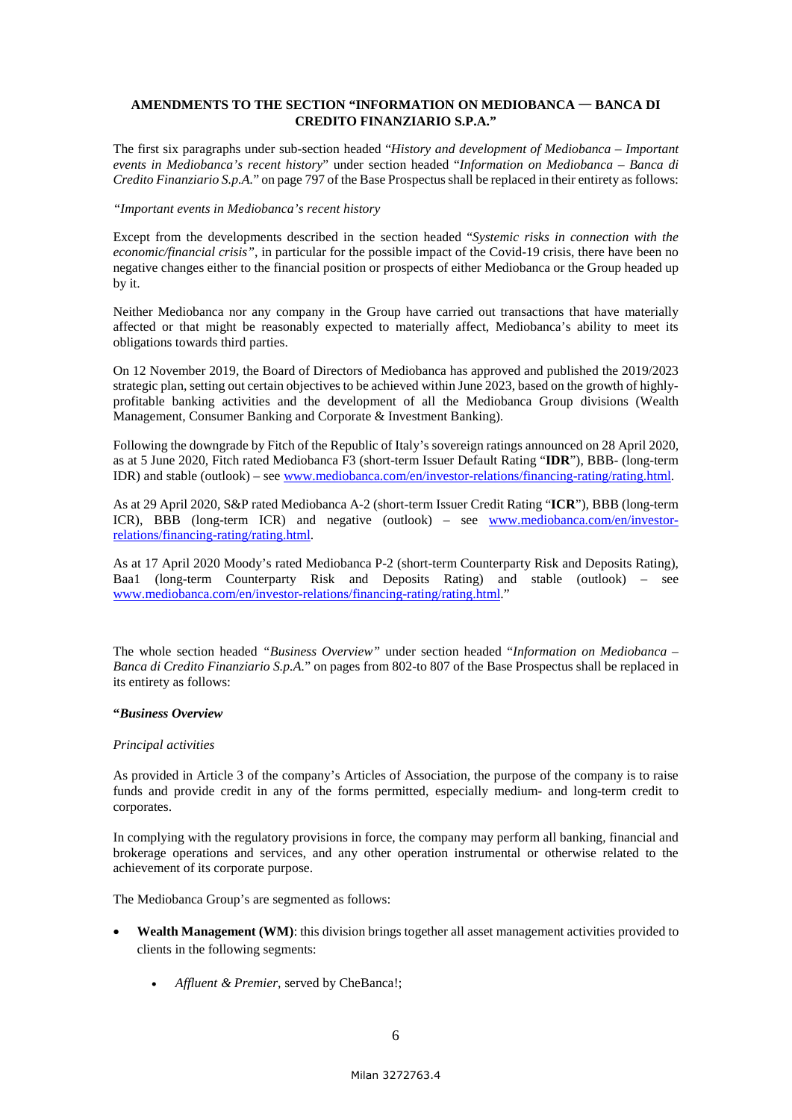## **AMENDMENTS TO THE SECTION "INFORMATION ON MEDIOBANCA** — **BANCA DI CREDITO FINANZIARIO S.P.A."**

The first six paragraphs under sub-section headed "*History and development of Mediobanca – Important events in Mediobanca's recent history*" under section headed "*Information on Mediobanca – Banca di Credito Finanziario S.p.A.*" on page 797 of the Base Prospectus shall be replaced in their entirety as follows:

#### *"Important events in Mediobanca's recent history*

Except from the developments described in the section headed "*Systemic risks in connection with the economic/financial crisis"*, in particular for the possible impact of the Covid-19 crisis, there have been no negative changes either to the financial position or prospects of either Mediobanca or the Group headed up by it.

Neither Mediobanca nor any company in the Group have carried out transactions that have materially affected or that might be reasonably expected to materially affect, Mediobanca's ability to meet its obligations towards third parties.

On 12 November 2019, the Board of Directors of Mediobanca has approved and published the 2019/2023 strategic plan, setting out certain objectives to be achieved within June 2023, based on the growth of highlyprofitable banking activities and the development of all the Mediobanca Group divisions (Wealth Management, Consumer Banking and Corporate & Investment Banking).

Following the downgrade by Fitch of the Republic of Italy's sovereign ratings announced on 28 April 2020, as at 5 June 2020, Fitch rated Mediobanca F3 (short-term Issuer Default Rating "**IDR**"), BBB- (long-term IDR) and stable (outlook) – see www.mediobanca.com/en/investor-relations/financing-rating/rating.html.

As at 29 April 2020, S&P rated Mediobanca A-2 (short-term Issuer Credit Rating "**ICR**"), BBB (long-term ICR), BBB (long-term ICR) and negative (outlook) – see [www.mediobanca.com/en/investor](http://www.mediobanca.com/en/investor-relations/financing-rating/rating.html)[relations/financing-rating/rating.html.](http://www.mediobanca.com/en/investor-relations/financing-rating/rating.html)

As at 17 April 2020 Moody's rated Mediobanca P-2 (short-term Counterparty Risk and Deposits Rating), Baa1 (long-term Counterparty Risk and Deposits Rating) and stable (outlook) – see [www.mediobanca.com/en/investor-relations/financing-rating/rating.html."](http://www.mediobanca.com/en/investor-relations/financing-rating/rating.html)

The whole section headed *"Business Overview"* under section headed "*Information on Mediobanca – Banca di Credito Finanziario S.p.A.*" on pages from 802-to 807 of the Base Prospectus shall be replaced in its entirety as follows:

## **"***Business Overview*

#### *Principal activities*

As provided in Article 3 of the company's Articles of Association, the purpose of the company is to raise funds and provide credit in any of the forms permitted, especially medium- and long-term credit to corporates.

In complying with the regulatory provisions in force, the company may perform all banking, financial and brokerage operations and services, and any other operation instrumental or otherwise related to the achievement of its corporate purpose.

The Mediobanca Group's are segmented as follows:

- **Wealth Management (WM)**: this division brings together all asset management activities provided to clients in the following segments:
	- *Affluent & Premier*, served by CheBanca!;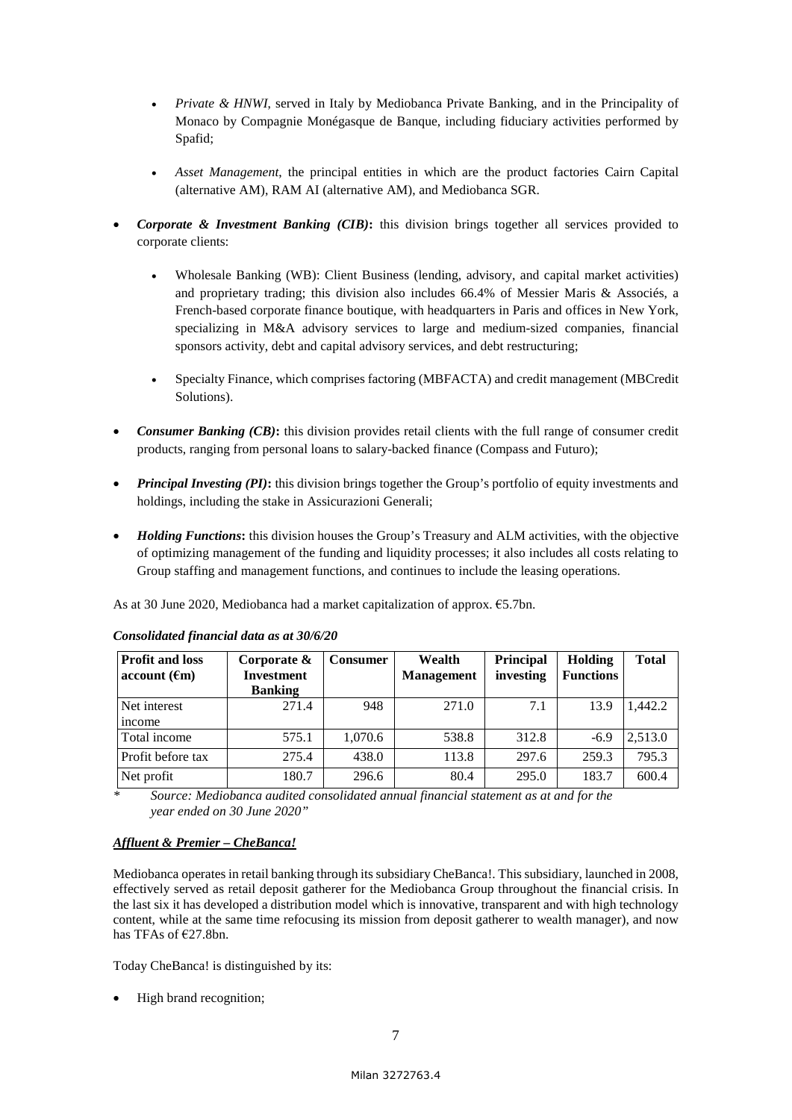- *Private & HNWI*, served in Italy by Mediobanca Private Banking, and in the Principality of Monaco by Compagnie Monégasque de Banque, including fiduciary activities performed by Spafid;
- *Asset Management*, the principal entities in which are the product factories Cairn Capital (alternative AM), RAM AI (alternative AM), and Mediobanca SGR.
- *Corporate & Investment Banking (CIB)***:** this division brings together all services provided to corporate clients:
	- Wholesale Banking (WB): Client Business (lending, advisory, and capital market activities) and proprietary trading; this division also includes 66.4% of Messier Maris & Associés, a French-based corporate finance boutique, with headquarters in Paris and offices in New York, specializing in M&A advisory services to large and medium-sized companies, financial sponsors activity, debt and capital advisory services, and debt restructuring;
	- Specialty Finance, which comprises factoring (MBFACTA) and credit management (MBCredit Solutions).
- *Consumer Banking (CB)*: this division provides retail clients with the full range of consumer credit products, ranging from personal loans to salary-backed finance (Compass and Futuro);
- *Principal Investing (PI)***:** this division brings together the Group's portfolio of equity investments and holdings, including the stake in Assicurazioni Generali;
- *Holding Functions***:** this division houses the Group's Treasury and ALM activities, with the objective of optimizing management of the funding and liquidity processes; it also includes all costs relating to Group staffing and management functions, and continues to include the leasing operations.

As at 30 June 2020, Mediobanca had a market capitalization of approx. €5.7bn.

| <b>Profit and loss</b> | Corporate $\&$    | <b>Consumer</b> | Wealth            | Principal | Holding          | <b>Total</b> |
|------------------------|-------------------|-----------------|-------------------|-----------|------------------|--------------|
| account (fm)           | <b>Investment</b> |                 | <b>Management</b> | investing | <b>Functions</b> |              |
|                        | <b>Banking</b>    |                 |                   |           |                  |              |
| Net interest           | 271.4             | 948             | 271.0             | 7.1       | 13.9             | 1,442.2      |
| income                 |                   |                 |                   |           |                  |              |
| Total income           | 575.1             | 1,070.6         | 538.8             | 312.8     | $-6.9$           | 2,513.0      |
| Profit before tax      | 275.4             | 438.0           | 113.8             | 297.6     | 259.3            | 795.3        |
| Net profit             | 180.7             | 296.6           | 80.4              | 295.0     | 183.7            | 600.4        |

## *Consolidated financial data as at 30/6/20*

*\* Source: Mediobanca audited consolidated annual financial statement as at and for the year ended on 30 June 2020"* 

# *Affluent & Premier – CheBanca!*

Mediobanca operates in retail banking through its subsidiary CheBanca!. This subsidiary, launched in 2008, effectively served as retail deposit gatherer for the Mediobanca Group throughout the financial crisis. In the last six it has developed a distribution model which is innovative, transparent and with high technology content, while at the same time refocusing its mission from deposit gatherer to wealth manager), and now has TFAs of €27.8bn.

Today CheBanca! is distinguished by its:

High brand recognition;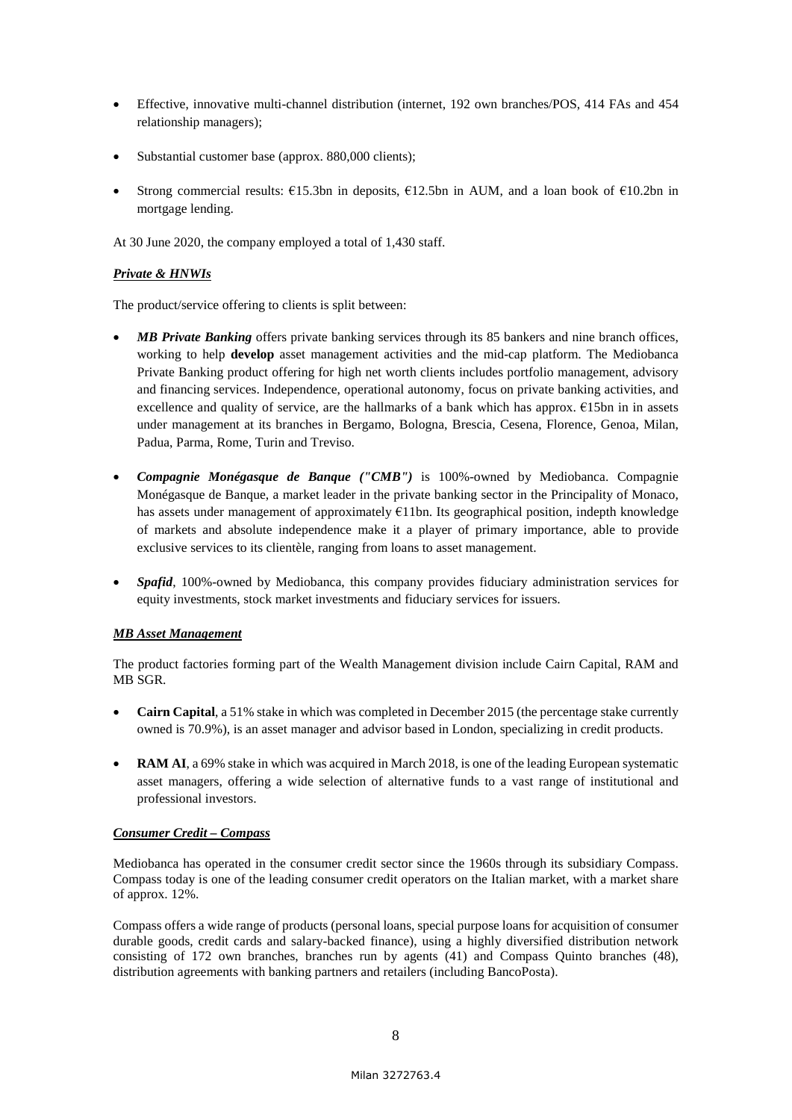- Effective, innovative multi-channel distribution (internet, 192 own branches/POS, 414 FAs and 454 relationship managers);
- Substantial customer base (approx. 880,000 clients);
- Strong commercial results:  $E15.3$ bn in deposits,  $E12.5$ bn in AUM, and a loan book of  $E10.2$ bn in mortgage lending.

At 30 June 2020, the company employed a total of 1,430 staff.

## *Private & HNWIs*

The product/service offering to clients is split between:

- *MB Private Banking* offers private banking services through its 85 bankers and nine branch offices, working to help **develop** asset management activities and the mid-cap platform. The Mediobanca Private Banking product offering for high net worth clients includes portfolio management, advisory and financing services. Independence, operational autonomy, focus on private banking activities, and excellence and quality of service, are the hallmarks of a bank which has approx. €15bn in in assets under management at its branches in Bergamo, Bologna, Brescia, Cesena, Florence, Genoa, Milan, Padua, Parma, Rome, Turin and Treviso.
- *Compagnie Monégasque de Banque ("CMB")* is 100%-owned by Mediobanca. Compagnie Monégasque de Banque, a market leader in the private banking sector in the Principality of Monaco, has assets under management of approximately €11bn. Its geographical position, indepth knowledge of markets and absolute independence make it a player of primary importance, able to provide exclusive services to its clientèle, ranging from loans to asset management.
- *Spafid*, 100%-owned by Mediobanca, this company provides fiduciary administration services for equity investments, stock market investments and fiduciary services for issuers.

## *MB Asset Management*

The product factories forming part of the Wealth Management division include Cairn Capital, RAM and MB SGR.

- **Cairn Capital**, a 51% stake in which was completed in December 2015 (the percentage stake currently owned is 70.9%), is an asset manager and advisor based in London, specializing in credit products.
- **RAM AI**, a 69% stake in which was acquired in March 2018, is one of the leading European systematic asset managers, offering a wide selection of alternative funds to a vast range of institutional and professional investors.

## *Consumer Credit – Compass*

Mediobanca has operated in the consumer credit sector since the 1960s through its subsidiary Compass. Compass today is one of the leading consumer credit operators on the Italian market, with a market share of approx. 12%.

Compass offers a wide range of products (personal loans, special purpose loans for acquisition of consumer durable goods, credit cards and salary-backed finance), using a highly diversified distribution network consisting of 172 own branches, branches run by agents (41) and Compass Quinto branches (48), distribution agreements with banking partners and retailers (including BancoPosta).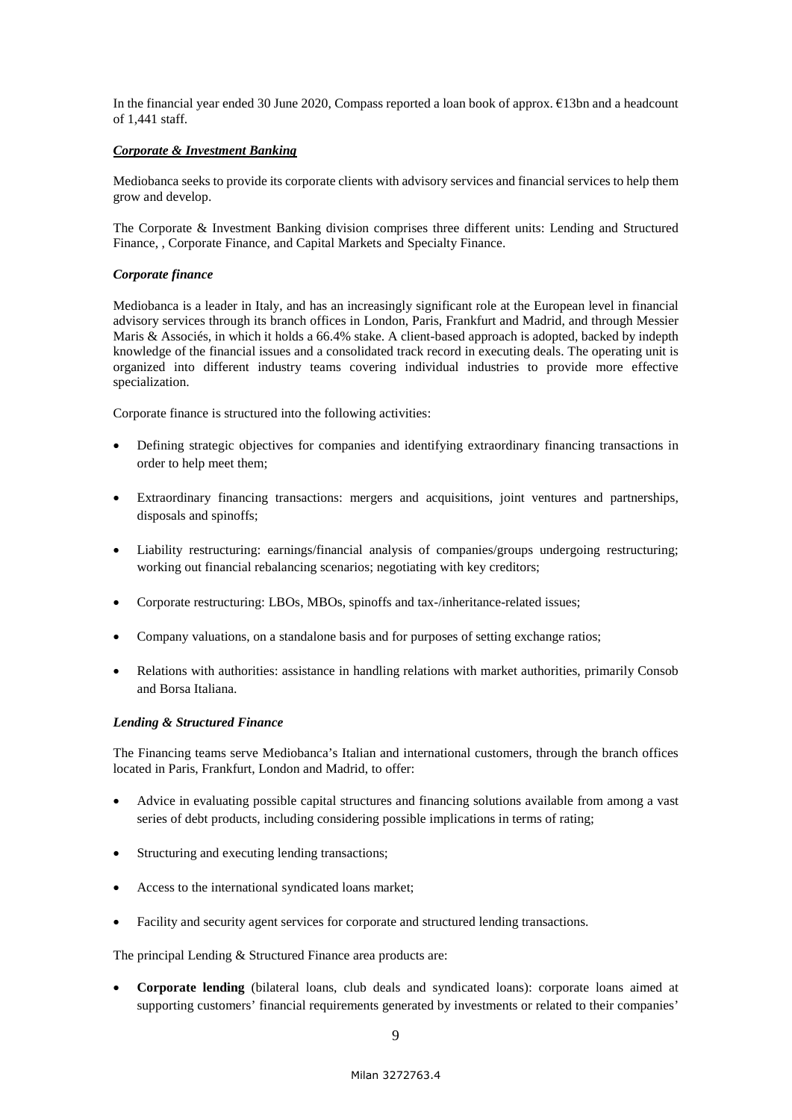In the financial year ended 30 June 2020, Compass reported a loan book of approx. €13bn and a headcount of 1,441 staff.

## *Corporate & Investment Banking*

Mediobanca seeks to provide its corporate clients with advisory services and financial services to help them grow and develop.

The Corporate & Investment Banking division comprises three different units: Lending and Structured Finance, , Corporate Finance, and Capital Markets and Specialty Finance.

## *Corporate finance*

Mediobanca is a leader in Italy, and has an increasingly significant role at the European level in financial advisory services through its branch offices in London, Paris, Frankfurt and Madrid, and through Messier Maris & Associés, in which it holds a 66.4% stake. A client-based approach is adopted, backed by indepth knowledge of the financial issues and a consolidated track record in executing deals. The operating unit is organized into different industry teams covering individual industries to provide more effective specialization.

Corporate finance is structured into the following activities:

- Defining strategic objectives for companies and identifying extraordinary financing transactions in order to help meet them;
- Extraordinary financing transactions: mergers and acquisitions, joint ventures and partnerships, disposals and spinoffs;
- Liability restructuring: earnings/financial analysis of companies/groups undergoing restructuring; working out financial rebalancing scenarios; negotiating with key creditors;
- Corporate restructuring: LBOs, MBOs, spinoffs and tax-/inheritance-related issues;
- Company valuations, on a standalone basis and for purposes of setting exchange ratios;
- Relations with authorities: assistance in handling relations with market authorities, primarily Consob and Borsa Italiana.

## *Lending & Structured Finance*

The Financing teams serve Mediobanca's Italian and international customers, through the branch offices located in Paris, Frankfurt, London and Madrid, to offer:

- Advice in evaluating possible capital structures and financing solutions available from among a vast series of debt products, including considering possible implications in terms of rating;
- Structuring and executing lending transactions;
- Access to the international syndicated loans market;
- Facility and security agent services for corporate and structured lending transactions.

The principal Lending & Structured Finance area products are:

 **Corporate lending** (bilateral loans, club deals and syndicated loans): corporate loans aimed at supporting customers' financial requirements generated by investments or related to their companies'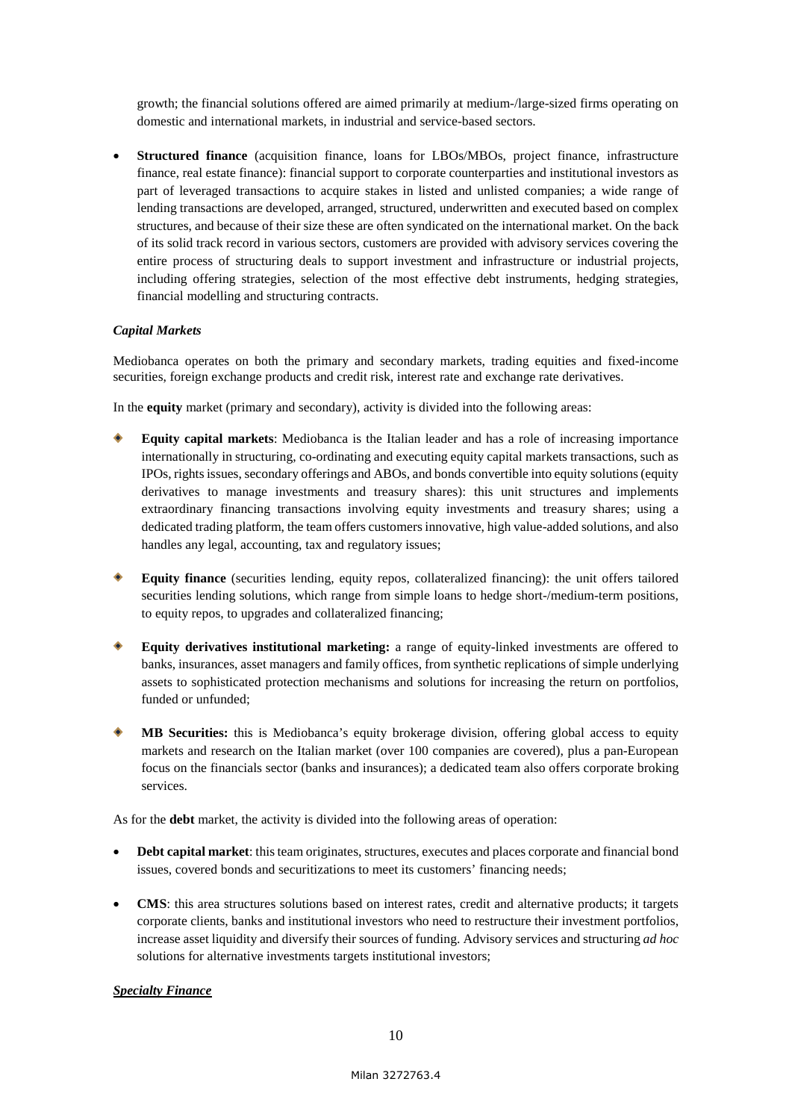growth; the financial solutions offered are aimed primarily at medium-/large-sized firms operating on domestic and international markets, in industrial and service-based sectors.

 **Structured finance** (acquisition finance, loans for LBOs/MBOs, project finance, infrastructure finance, real estate finance): financial support to corporate counterparties and institutional investors as part of leveraged transactions to acquire stakes in listed and unlisted companies; a wide range of lending transactions are developed, arranged, structured, underwritten and executed based on complex structures, and because of their size these are often syndicated on the international market. On the back of its solid track record in various sectors, customers are provided with advisory services covering the entire process of structuring deals to support investment and infrastructure or industrial projects, including offering strategies, selection of the most effective debt instruments, hedging strategies, financial modelling and structuring contracts.

## *Capital Markets*

Mediobanca operates on both the primary and secondary markets, trading equities and fixed-income securities, foreign exchange products and credit risk, interest rate and exchange rate derivatives.

In the **equity** market (primary and secondary), activity is divided into the following areas:

- **Equity capital markets**: Mediobanca is the Italian leader and has a role of increasing importance internationally in structuring, co-ordinating and executing equity capital markets transactions, such as IPOs, rights issues, secondary offerings and ABOs, and bonds convertible into equity solutions (equity derivatives to manage investments and treasury shares): this unit structures and implements extraordinary financing transactions involving equity investments and treasury shares; using a dedicated trading platform, the team offers customers innovative, high value-added solutions, and also handles any legal, accounting, tax and regulatory issues;
- **Equity finance** (securities lending, equity repos, collateralized financing): the unit offers tailored securities lending solutions, which range from simple loans to hedge short-/medium-term positions, to equity repos, to upgrades and collateralized financing;
- **Equity derivatives institutional marketing:** a range of equity-linked investments are offered to banks, insurances, asset managers and family offices, from synthetic replications of simple underlying assets to sophisticated protection mechanisms and solutions for increasing the return on portfolios, funded or unfunded;
- **MB Securities:** this is Mediobanca's equity brokerage division, offering global access to equity markets and research on the Italian market (over 100 companies are covered), plus a pan-European focus on the financials sector (banks and insurances); a dedicated team also offers corporate broking services.

As for the **debt** market, the activity is divided into the following areas of operation:

- **Debt capital market**: this team originates, structures, executes and places corporate and financial bond issues, covered bonds and securitizations to meet its customers' financing needs;
- **CMS**: this area structures solutions based on interest rates, credit and alternative products; it targets corporate clients, banks and institutional investors who need to restructure their investment portfolios, increase asset liquidity and diversify their sources of funding. Advisory services and structuring *ad hoc* solutions for alternative investments targets institutional investors;

## *Specialty Finance*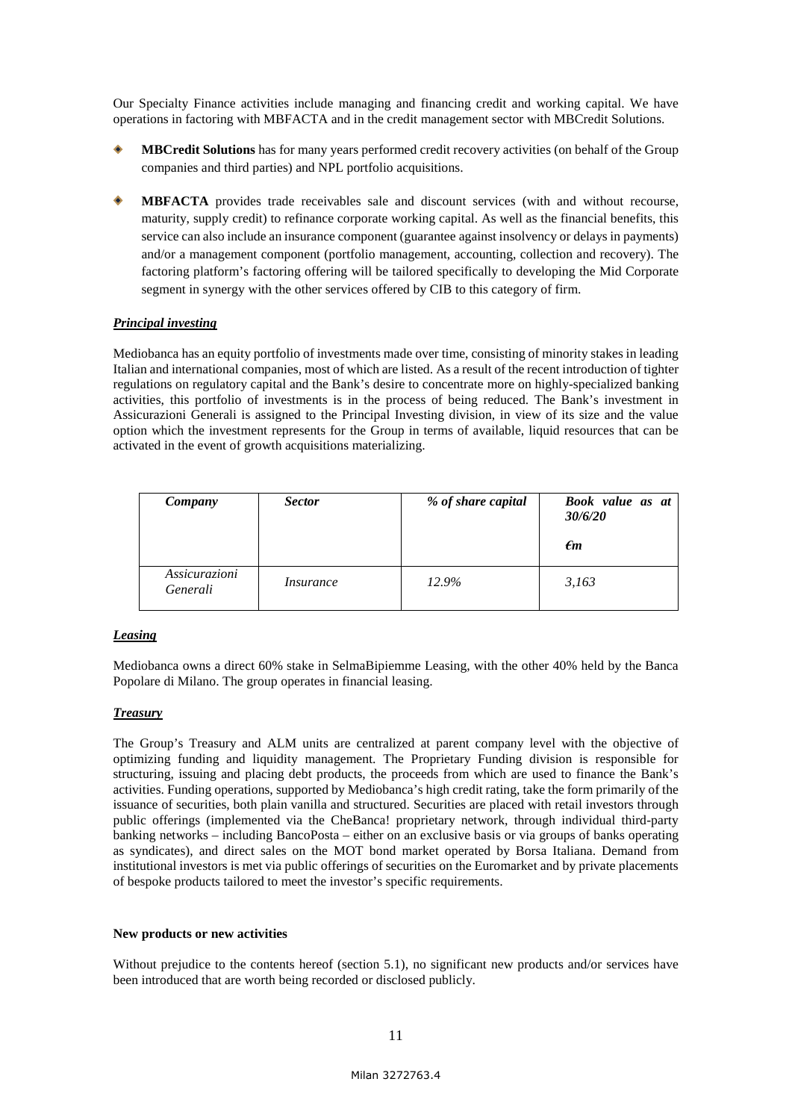Our Specialty Finance activities include managing and financing credit and working capital. We have operations in factoring with MBFACTA and in the credit management sector with MBCredit Solutions.

- **MBCredit Solutions** has for many years performed credit recovery activities (on behalf of the Group companies and third parties) and NPL portfolio acquisitions.
- **MBFACTA** provides trade receivables sale and discount services (with and without recourse, maturity, supply credit) to refinance corporate working capital. As well as the financial benefits, this service can also include an insurance component (guarantee against insolvency or delays in payments) and/or a management component (portfolio management, accounting, collection and recovery). The factoring platform's factoring offering will be tailored specifically to developing the Mid Corporate segment in synergy with the other services offered by CIB to this category of firm.

## *Principal investing*

Mediobanca has an equity portfolio of investments made over time, consisting of minority stakes in leading Italian and international companies, most of which are listed. As a result of the recent introduction of tighter regulations on regulatory capital and the Bank's desire to concentrate more on highly-specialized banking activities, this portfolio of investments is in the process of being reduced. The Bank's investment in Assicurazioni Generali is assigned to the Principal Investing division, in view of its size and the value option which the investment represents for the Group in terms of available, liquid resources that can be activated in the event of growth acquisitions materializing.

| Company                   | <b>Sector</b> | % of share capital | Book value as at<br>30/6/20<br>$\epsilon$ m |
|---------------------------|---------------|--------------------|---------------------------------------------|
| Assicurazioni<br>Generali | Insurance     | 12.9%              | 3,163                                       |

## *Leasing*

Mediobanca owns a direct 60% stake in SelmaBipiemme Leasing, with the other 40% held by the Banca Popolare di Milano. The group operates in financial leasing.

## *Treasury*

The Group's Treasury and ALM units are centralized at parent company level with the objective of optimizing funding and liquidity management. The Proprietary Funding division is responsible for structuring, issuing and placing debt products, the proceeds from which are used to finance the Bank's activities. Funding operations, supported by Mediobanca's high credit rating, take the form primarily of the issuance of securities, both plain vanilla and structured. Securities are placed with retail investors through public offerings (implemented via the CheBanca! proprietary network, through individual third-party banking networks – including BancoPosta – either on an exclusive basis or via groups of banks operating as syndicates), and direct sales on the MOT bond market operated by Borsa Italiana. Demand from institutional investors is met via public offerings of securities on the Euromarket and by private placements of bespoke products tailored to meet the investor's specific requirements.

#### **New products or new activities**

Without prejudice to the contents hereof (section 5.1), no significant new products and/or services have been introduced that are worth being recorded or disclosed publicly.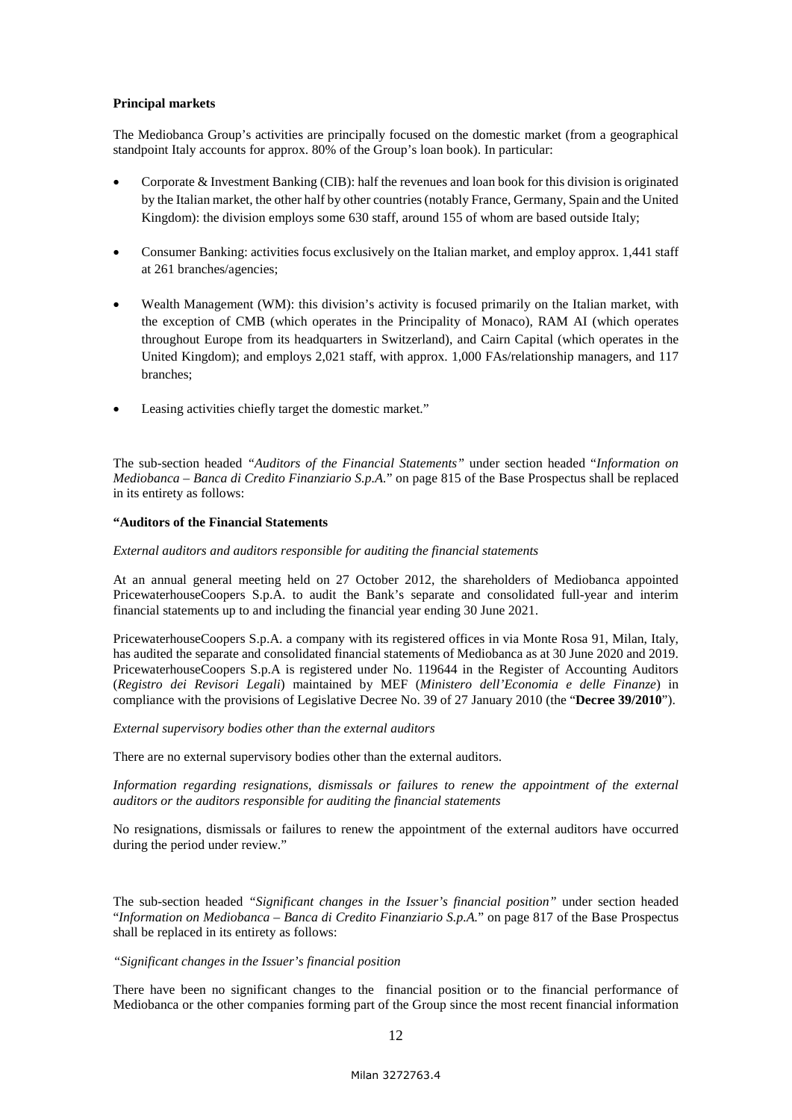#### **Principal markets**

The Mediobanca Group's activities are principally focused on the domestic market (from a geographical standpoint Italy accounts for approx. 80% of the Group's loan book). In particular:

- Corporate & Investment Banking (CIB): half the revenues and loan book for this division is originated by the Italian market, the other half by other countries (notably France, Germany, Spain and the United Kingdom): the division employs some 630 staff, around 155 of whom are based outside Italy;
- Consumer Banking: activities focus exclusively on the Italian market, and employ approx. 1,441 staff at 261 branches/agencies;
- Wealth Management (WM): this division's activity is focused primarily on the Italian market, with the exception of CMB (which operates in the Principality of Monaco), RAM AI (which operates throughout Europe from its headquarters in Switzerland), and Cairn Capital (which operates in the United Kingdom); and employs 2,021 staff, with approx. 1,000 FAs/relationship managers, and 117 branches;
- Leasing activities chiefly target the domestic market."

The sub-section headed *"Auditors of the Financial Statements"* under section headed "*Information on Mediobanca – Banca di Credito Finanziario S.p.A.*" on page 815 of the Base Prospectus shall be replaced in its entirety as follows:

#### **"Auditors of the Financial Statements**

#### *External auditors and auditors responsible for auditing the financial statements*

At an annual general meeting held on 27 October 2012, the shareholders of Mediobanca appointed PricewaterhouseCoopers S.p.A. to audit the Bank's separate and consolidated full-year and interim financial statements up to and including the financial year ending 30 June 2021.

PricewaterhouseCoopers S.p.A. a company with its registered offices in via Monte Rosa 91, Milan, Italy, has audited the separate and consolidated financial statements of Mediobanca as at 30 June 2020 and 2019. PricewaterhouseCoopers S.p.A is registered under No. 119644 in the Register of Accounting Auditors (*Registro dei Revisori Legali*) maintained by MEF (*Ministero dell'Economia e delle Finanze*) in compliance with the provisions of Legislative Decree No. 39 of 27 January 2010 (the "**Decree 39/2010**").

#### *External supervisory bodies other than the external auditors*

There are no external supervisory bodies other than the external auditors.

*Information regarding resignations, dismissals or failures to renew the appointment of the external auditors or the auditors responsible for auditing the financial statements* 

No resignations, dismissals or failures to renew the appointment of the external auditors have occurred during the period under review."

The sub-section headed *"Significant changes in the Issuer's financial position"* under section headed "*Information on Mediobanca – Banca di Credito Finanziario S.p.A.*" on page 817 of the Base Prospectus shall be replaced in its entirety as follows:

#### *"Significant changes in the Issuer's financial position*

There have been no significant changes to the financial position or to the financial performance of Mediobanca or the other companies forming part of the Group since the most recent financial information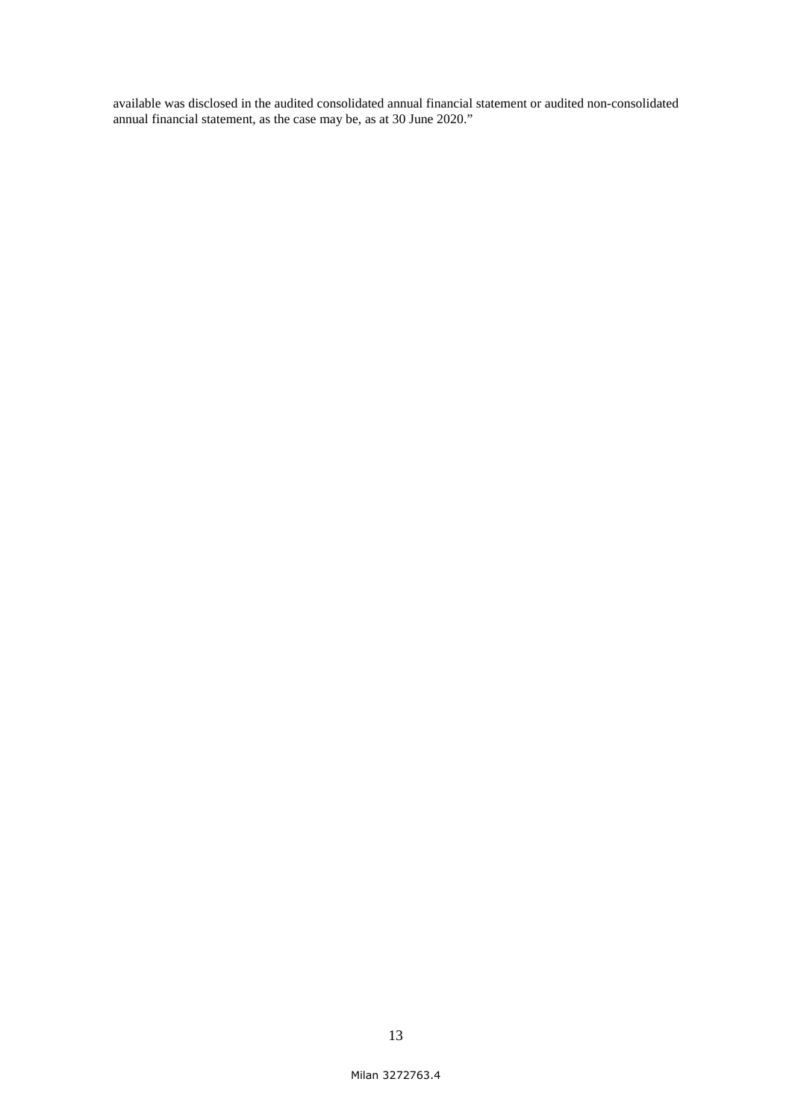available was disclosed in the audited consolidated annual financial statement or audited non-consolidated annual financial statement, as the case may be, as at 30 June 2020."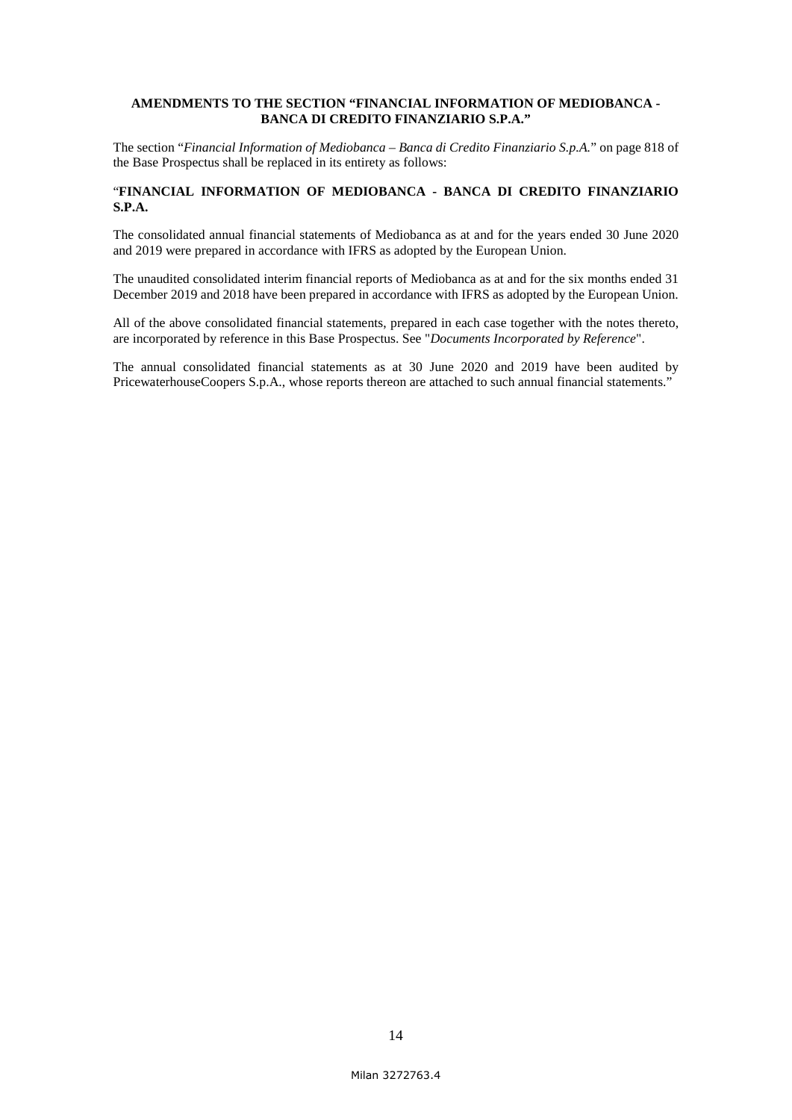#### **AMENDMENTS TO THE SECTION "FINANCIAL INFORMATION OF MEDIOBANCA - BANCA DI CREDITO FINANZIARIO S.P.A."**

The section "*Financial Information of Mediobanca – Banca di Credito Finanziario S.p.A.*" on page 818 of the Base Prospectus shall be replaced in its entirety as follows:

## "**FINANCIAL INFORMATION OF MEDIOBANCA - BANCA DI CREDITO FINANZIARIO S.P.A.**

The consolidated annual financial statements of Mediobanca as at and for the years ended 30 June 2020 and 2019 were prepared in accordance with IFRS as adopted by the European Union.

The unaudited consolidated interim financial reports of Mediobanca as at and for the six months ended 31 December 2019 and 2018 have been prepared in accordance with IFRS as adopted by the European Union.

All of the above consolidated financial statements, prepared in each case together with the notes thereto, are incorporated by reference in this Base Prospectus. See "*Documents Incorporated by Reference*".

The annual consolidated financial statements as at 30 June 2020 and 2019 have been audited by PricewaterhouseCoopers S.p.A., whose reports thereon are attached to such annual financial statements."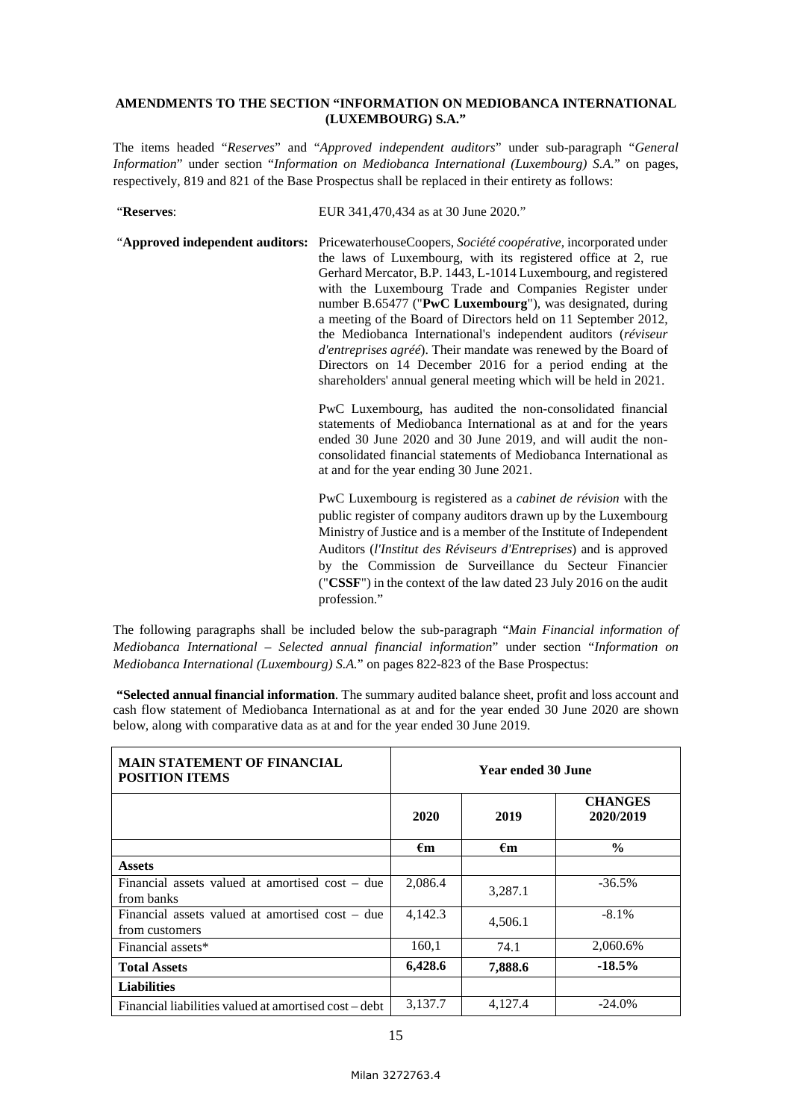#### **AMENDMENTS TO THE SECTION "INFORMATION ON MEDIOBANCA INTERNATIONAL (LUXEMBOURG) S.A."**

The items headed "*Reserves*" and "*Approved independent auditors*" under sub-paragraph "*General Information*" under section "*Information on Mediobanca International (Luxembourg) S.A.*" on pages, respectively, 819 and 821 of the Base Prospectus shall be replaced in their entirety as follows:

"**Reserves**: EUR 341,470,434 as at 30 June 2020."

"**Approved independent auditors:** PricewaterhouseCoopers, *Société coopérative*, incorporated under the laws of Luxembourg, with its registered office at 2, rue Gerhard Mercator, B.P. 1443, L-1014 Luxembourg, and registered with the Luxembourg Trade and Companies Register under number B.65477 ("**PwC Luxembourg**"), was designated, during a meeting of the Board of Directors held on 11 September 2012, the Mediobanca International's independent auditors (*réviseur d'entreprises agréé*). Their mandate was renewed by the Board of Directors on 14 December 2016 for a period ending at the shareholders' annual general meeting which will be held in 2021.

> PwC Luxembourg, has audited the non-consolidated financial statements of Mediobanca International as at and for the years ended 30 June 2020 and 30 June 2019, and will audit the nonconsolidated financial statements of Mediobanca International as at and for the year ending 30 June 2021.

> PwC Luxembourg is registered as a *cabinet de révision* with the public register of company auditors drawn up by the Luxembourg Ministry of Justice and is a member of the Institute of Independent Auditors (*l'Institut des Réviseurs d'Entreprises*) and is approved by the Commission de Surveillance du Secteur Financier ("**CSSF**") in the context of the law dated 23 July 2016 on the audit profession."

The following paragraphs shall be included below the sub-paragraph "*Main Financial information of Mediobanca International – Selected annual financial information*" under section "*Information on Mediobanca International (Luxembourg) S.A.*" on pages 822-823 of the Base Prospectus:

 **"Selected annual financial information**. The summary audited balance sheet, profit and loss account and cash flow statement of Mediobanca International as at and for the year ended 30 June 2020 are shown below, along with comparative data as at and for the year ended 30 June 2019.

| <b>MAIN STATEMENT OF FINANCIAL</b><br><b>POSITION ITEMS</b>       | Year ended 30 June |                    |                             |  |
|-------------------------------------------------------------------|--------------------|--------------------|-----------------------------|--|
|                                                                   | 2020               | 2019               | <b>CHANGES</b><br>2020/2019 |  |
|                                                                   | $\epsilon_{\bf m}$ | $\epsilon_{\bf m}$ | $\frac{6}{9}$               |  |
| <b>Assets</b>                                                     |                    |                    |                             |  |
| Financial assets valued at amortised cost – due<br>from banks     | 2,086.4            | 3,287.1            | $-36.5%$                    |  |
| Financial assets valued at amortised cost – due<br>from customers | 4,142.3            | 4,506.1            | $-8.1\%$                    |  |
| Financial assets*                                                 | 160,1              | 74.1               | 2,060.6%                    |  |
| <b>Total Assets</b>                                               | 6,428.6            | 7,888.6            | $-18.5%$                    |  |
| <b>Liabilities</b>                                                |                    |                    |                             |  |
| Financial liabilities valued at amortised cost – debt             | 3,137.7            | 4,127.4            | $-24.0\%$                   |  |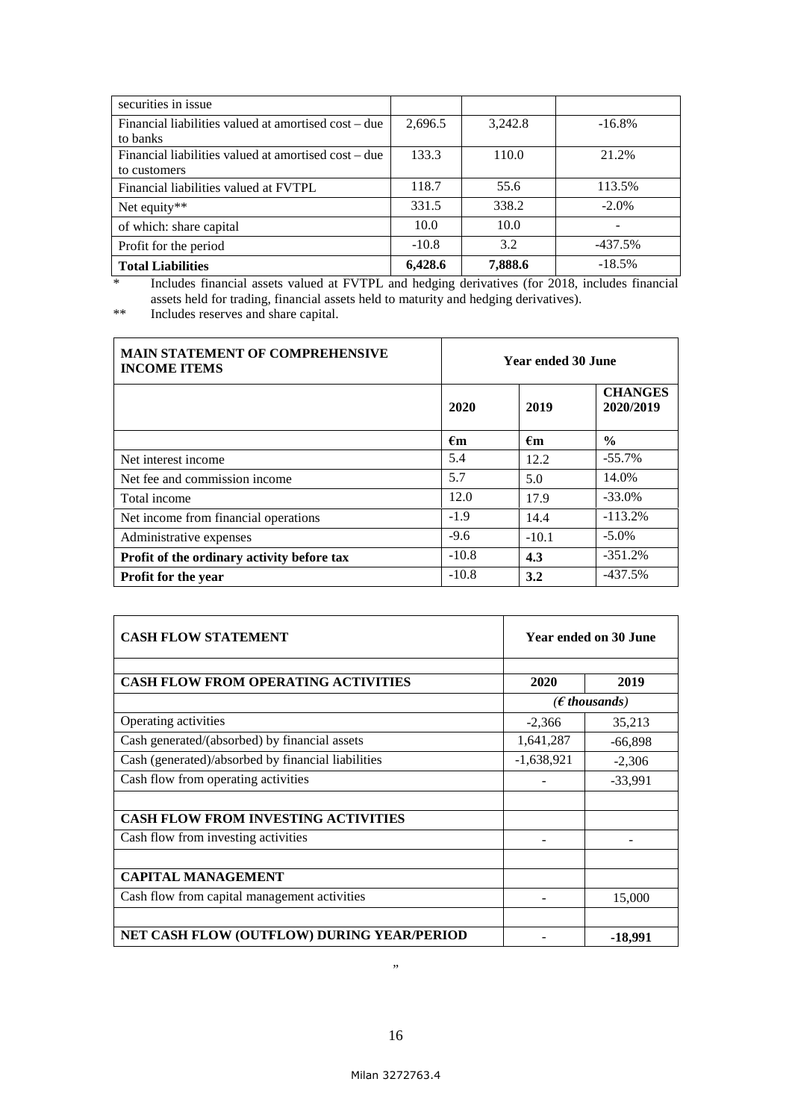| securities in issue                                  |         |         |           |
|------------------------------------------------------|---------|---------|-----------|
| Financial liabilities valued at amortised cost – due | 2,696.5 | 3,242.8 | $-16.8\%$ |
| to banks                                             |         |         |           |
| Financial liabilities valued at amortised cost – due | 133.3   | 110.0   | 21.2%     |
| to customers                                         |         |         |           |
| Financial liabilities valued at FVTPL                | 118.7   | 55.6    | 113.5%    |
| Net equity**                                         | 331.5   | 338.2   | $-2.0\%$  |
| of which: share capital                              | 10.0    | 10.0    | -         |
| Profit for the period                                | $-10.8$ | 3.2     | $-437.5%$ |
| <b>Total Liabilities</b>                             | 6,428.6 | 7,888.6 | $-18.5%$  |

\* Includes financial assets valued at FVTPL and hedging derivatives (for 2018, includes financial assets held for trading, financial assets held to maturity and hedging derivatives).

\*\* Includes reserves and share capital.

| <b>MAIN STATEMENT OF COMPREHENSIVE</b><br><b>INCOME ITEMS</b> | Year ended 30 June          |              |                             |
|---------------------------------------------------------------|-----------------------------|--------------|-----------------------------|
|                                                               | 2020                        | 2019         | <b>CHANGES</b><br>2020/2019 |
|                                                               | $\epsilon$ m                | $\epsilon$ m | $\frac{0}{0}$               |
| Net interest income                                           | 5.4                         | 12.2         | $-55.7%$                    |
| Net fee and commission income                                 | 5.7                         | 5.0          | 14.0%                       |
| Total income                                                  | 12.0                        | 17.9         | $-33.0%$                    |
| Net income from financial operations                          | $-1.9$                      | 14.4         | $-113.2%$                   |
| Administrative expenses                                       | $-9.6$                      | $-10.1$      | $-5.0\%$                    |
| Profit of the ordinary activity before tax                    | $-10.8$                     | 4.3          | $-351.2%$                   |
| <b>Profit for the year</b>                                    | $-10.8$<br>$-437.5%$<br>3.2 |              |                             |

| <b>CASH FLOW STATEMENT</b>                         | Year ended on 30 June |                         |  |  |
|----------------------------------------------------|-----------------------|-------------------------|--|--|
| <b>CASH FLOW FROM OPERATING ACTIVITIES</b>         | 2020                  | 2019                    |  |  |
|                                                    |                       | ( $\epsilon$ thousands) |  |  |
| Operating activities                               | $-2,366$              | 35,213                  |  |  |
| Cash generated/(absorbed) by financial assets      | 1,641,287             | $-66,898$               |  |  |
| Cash (generated)/absorbed by financial liabilities | $-1,638,921$          | $-2,306$                |  |  |
| Cash flow from operating activities                |                       | $-33,991$               |  |  |
| <b>CASH FLOW FROM INVESTING ACTIVITIES</b>         |                       |                         |  |  |
| Cash flow from investing activities                |                       |                         |  |  |
| <b>CAPITAL MANAGEMENT</b>                          |                       |                         |  |  |
| Cash flow from capital management activities       |                       | 15,000                  |  |  |
|                                                    |                       |                         |  |  |
| NET CASH FLOW (OUTFLOW) DURING YEAR/PERIOD         |                       | $-18,991$               |  |  |

"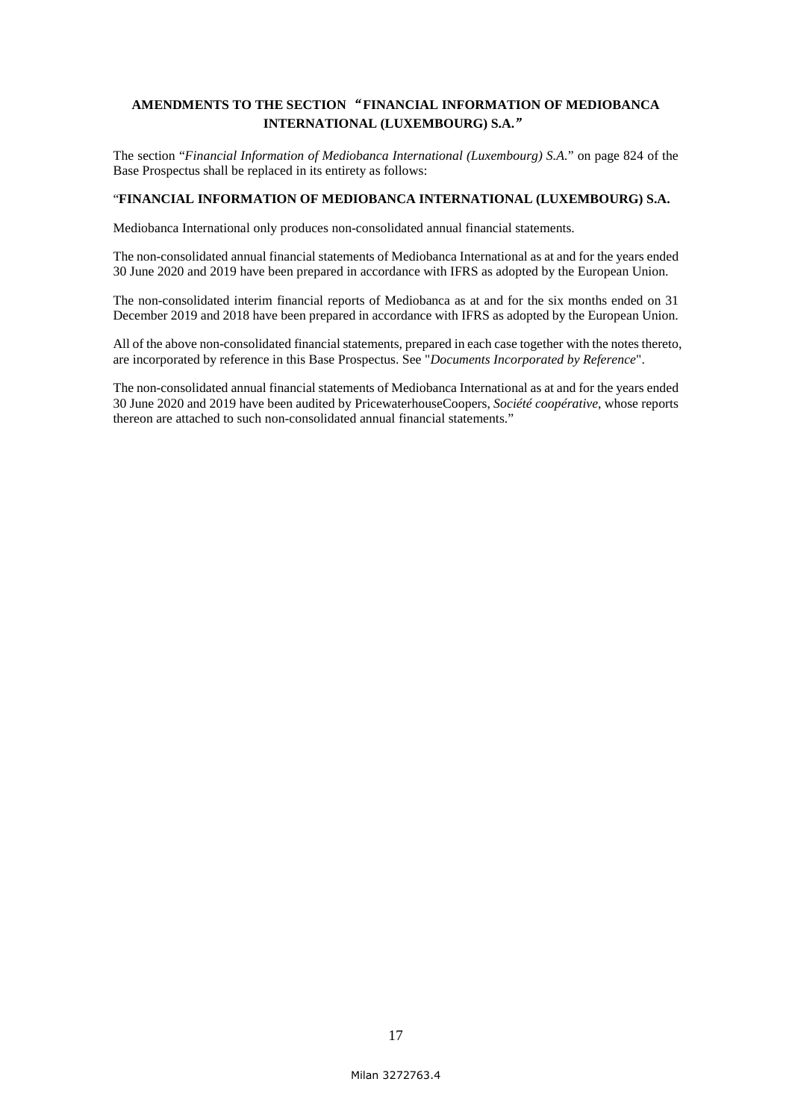# **AMENDMENTS TO THE SECTION** "**FINANCIAL INFORMATION OF MEDIOBANCA INTERNATIONAL (LUXEMBOURG) S.A.**"

The section "*Financial Information of Mediobanca International (Luxembourg) S.A.*" on page 824 of the Base Prospectus shall be replaced in its entirety as follows:

## "**FINANCIAL INFORMATION OF MEDIOBANCA INTERNATIONAL (LUXEMBOURG) S.A.**

Mediobanca International only produces non-consolidated annual financial statements.

The non-consolidated annual financial statements of Mediobanca International as at and for the years ended 30 June 2020 and 2019 have been prepared in accordance with IFRS as adopted by the European Union.

The non-consolidated interim financial reports of Mediobanca as at and for the six months ended on 31 December 2019 and 2018 have been prepared in accordance with IFRS as adopted by the European Union.

All of the above non-consolidated financial statements, prepared in each case together with the notes thereto, are incorporated by reference in this Base Prospectus. See "*Documents Incorporated by Reference*".

The non-consolidated annual financial statements of Mediobanca International as at and for the years ended 30 June 2020 and 2019 have been audited by PricewaterhouseCoopers, *Société coopérative*, whose reports thereon are attached to such non-consolidated annual financial statements."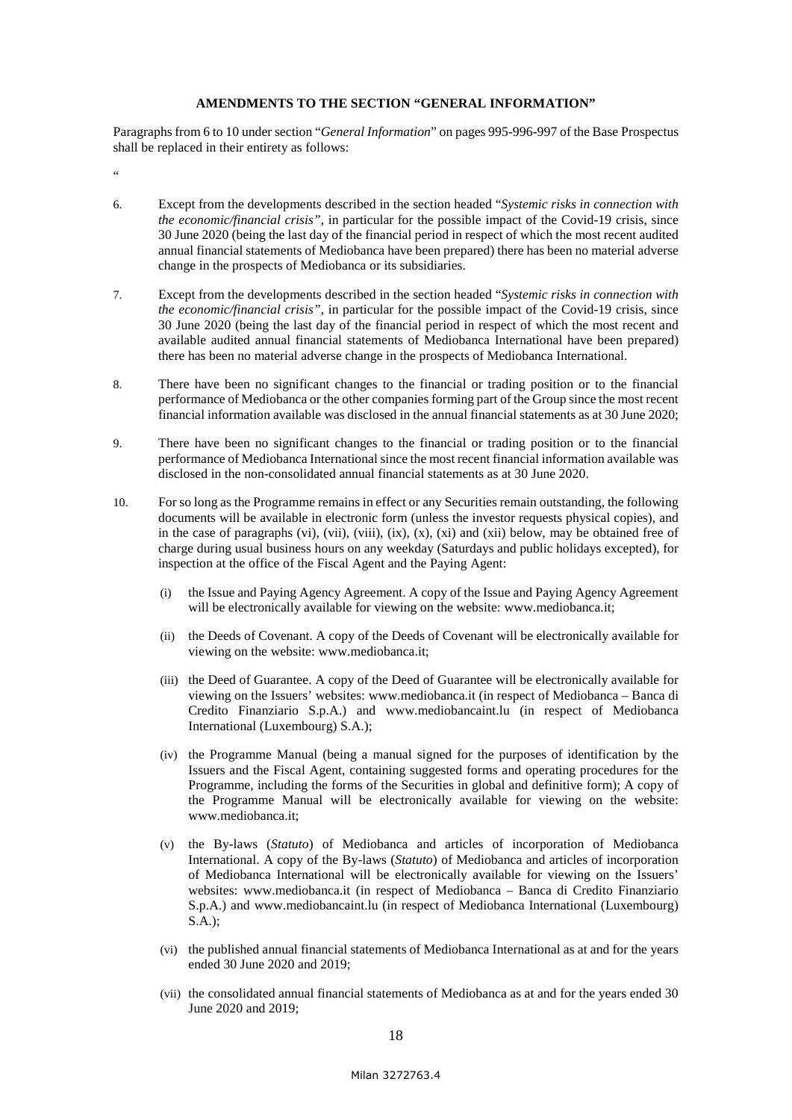#### **AMENDMENTS TO THE SECTION "GENERAL INFORMATION"**

Paragraphs from 6 to 10 under section "*General Information*" on pages 995-996-997 of the Base Prospectus shall be replaced in their entirety as follows:

.<br>"

- 6. Except from the developments described in the section headed "*Systemic risks in connection with the economic/financial crisis"*, in particular for the possible impact of the Covid-19 crisis, since 30 June 2020 (being the last day of the financial period in respect of which the most recent audited annual financial statements of Mediobanca have been prepared) there has been no material adverse change in the prospects of Mediobanca or its subsidiaries.
- 7. Except from the developments described in the section headed "*Systemic risks in connection with the economic/financial crisis"*, in particular for the possible impact of the Covid-19 crisis, since 30 June 2020 (being the last day of the financial period in respect of which the most recent and available audited annual financial statements of Mediobanca International have been prepared) there has been no material adverse change in the prospects of Mediobanca International.
- 8. There have been no significant changes to the financial or trading position or to the financial performance of Mediobanca or the other companies forming part of the Group since the most recent financial information available was disclosed in the annual financial statements as at 30 June 2020;
- 9. There have been no significant changes to the financial or trading position or to the financial performance of Mediobanca International since the most recent financial information available was disclosed in the non-consolidated annual financial statements as at 30 June 2020.
- 10. For so long as the Programme remains in effect or any Securities remain outstanding, the following documents will be available in electronic form (unless the investor requests physical copies), and in the case of paragraphs (vi), (vii), (viii), (ix), (x), (xi) and (xii) below, may be obtained free of charge during usual business hours on any weekday (Saturdays and public holidays excepted), for inspection at the office of the Fiscal Agent and the Paying Agent:
	- (i) the Issue and Paying Agency Agreement. A copy of the Issue and Paying Agency Agreement will be electronically available for viewing on the website: www.mediobanca.it;
	- (ii) the Deeds of Covenant. A copy of the Deeds of Covenant will be electronically available for viewing on the website: www.mediobanca.it;
	- (iii) the Deed of Guarantee. A copy of the Deed of Guarantee will be electronically available for viewing on the Issuers' websites: www.mediobanca.it (in respect of Mediobanca – Banca di Credito Finanziario S.p.A.) and www.mediobancaint.lu (in respect of Mediobanca International (Luxembourg) S.A.);
	- (iv) the Programme Manual (being a manual signed for the purposes of identification by the Issuers and the Fiscal Agent, containing suggested forms and operating procedures for the Programme, including the forms of the Securities in global and definitive form); A copy of the Programme Manual will be electronically available for viewing on the website: www.mediobanca.it;
	- (v) the By-laws (*Statuto*) of Mediobanca and articles of incorporation of Mediobanca International. A copy of the By-laws (*Statuto*) of Mediobanca and articles of incorporation of Mediobanca International will be electronically available for viewing on the Issuers' websites: www.mediobanca.it (in respect of Mediobanca – Banca di Credito Finanziario S.p.A.) and www.mediobancaint.lu (in respect of Mediobanca International (Luxembourg) S.A.);
	- (vi) the published annual financial statements of Mediobanca International as at and for the years ended 30 June 2020 and 2019;
	- (vii) the consolidated annual financial statements of Mediobanca as at and for the years ended 30 June 2020 and 2019;